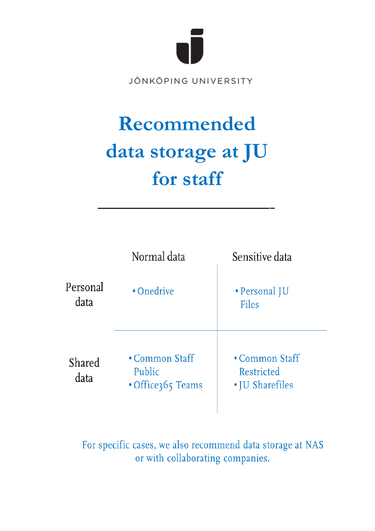

JÖNKÖPING UNIVERSITY

# Recommended data storage at JU for staff



For specific cases, we also recommend data storage at NAS or with collaborating companies.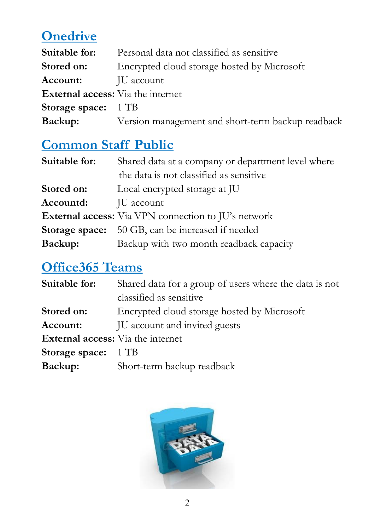## **Onedrive**

| Suitable for:                            | Personal data not classified as sensitive         |
|------------------------------------------|---------------------------------------------------|
| Stored on:                               | Encrypted cloud storage hosted by Microsoft       |
| Account:                                 | JU account                                        |
| <b>External access:</b> Via the internet |                                                   |
| <b>Storage space:</b> 1 TB               |                                                   |
| Backup:                                  | Version management and short-term backup readback |

## **Common Staff Public**

| Suitable for: | Shared data at a company or department level where      |
|---------------|---------------------------------------------------------|
|               | the data is not classified as sensitive                 |
| Stored on:    | Local encrypted storage at JU                           |
| Accountd:     | JU account                                              |
|               | External access: Via VPN connection to JU's network     |
|               | <b>Storage space:</b> 50 GB, can be increased if needed |
| Backup:       | Backup with two month readback capacity                 |

## **Office365 Teams**

| Suitable for:                            | Shared data for a group of users where the data is not |
|------------------------------------------|--------------------------------------------------------|
|                                          | classified as sensitive                                |
| Stored on:                               | Encrypted cloud storage hosted by Microsoft            |
| Account:                                 | JU account and invited guests                          |
| <b>External access:</b> Via the internet |                                                        |
| Storage space: 1 TB                      |                                                        |
| Backup:                                  | Short-term backup readback                             |

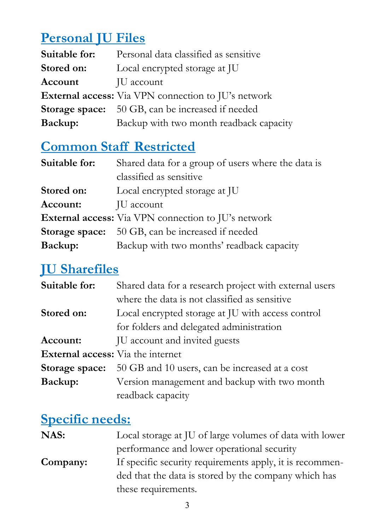## **Personal JU Files**

| Suitable for:                                              | Personal data classified as sensitive                   |
|------------------------------------------------------------|---------------------------------------------------------|
| Stored on:                                                 | Local encrypted storage at JU                           |
| Account                                                    | JU account                                              |
| <b>External access:</b> Via VPN connection to JU's network |                                                         |
|                                                            | <b>Storage space:</b> 50 GB, can be increased if needed |
| Backup:                                                    | Backup with two month readback capacity                 |

## **Common Staff Restricted**

| Suitable for:  | Shared data for a group of users where the data is  |
|----------------|-----------------------------------------------------|
|                | classified as sensitive                             |
| Stored on:     | Local encrypted storage at JU                       |
| Account:       | JU account                                          |
|                | External access: Via VPN connection to JU's network |
| Storage space: | 50 GB, can be increased if needed                   |
| Backup:        | Backup with two months' readback capacity           |

#### **JU Sharefiles**

| Suitable for:                            | Shared data for a research project with external users |
|------------------------------------------|--------------------------------------------------------|
|                                          | where the data is not classified as sensitive          |
| Stored on:                               | Local encrypted storage at JU with access control      |
|                                          | for folders and delegated administration               |
| Account:                                 | JU account and invited guests                          |
| <b>External access:</b> Via the internet |                                                        |
| Storage space:                           | 50 GB and 10 users, can be increased at a cost         |
| Backup:                                  | Version management and backup with two month           |
|                                          | readback capacity                                      |

#### **Specific needs:**

| NAS:     | Local storage at JU of large volumes of data with lower  |
|----------|----------------------------------------------------------|
|          | performance and lower operational security               |
| Company: | If specific security requirements apply, it is recommen- |
|          | ded that the data is stored by the company which has     |
|          | these requirements.                                      |